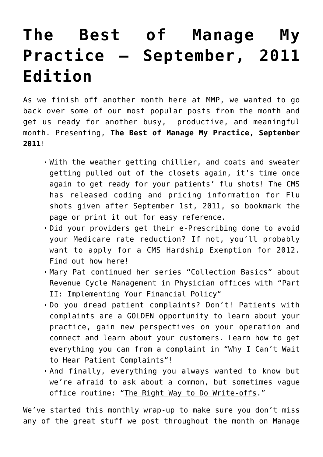## **[The Best of Manage My](https://managemypractice.com/the-best-of-manage-my-practice-september-2011-edition/) [Practice – September, 2011](https://managemypractice.com/the-best-of-manage-my-practice-september-2011-edition/) [Edition](https://managemypractice.com/the-best-of-manage-my-practice-september-2011-edition/)**

As we finish off another month here at MMP, we wanted to go back over some of our most popular posts from the month and get us ready for another busy, productive, and meaningful month. Presenting, **The Best of Manage My Practice, September 2011**!

- With the weather getting chillier, and coats and sweater getting pulled out of the closets again, it's time once again to get ready for your patients' flu shots! The CMS has released [coding and pricing information for Flu](https://managemypractice.com/?p=9484) [shots given after September 1st, 2011](https://managemypractice.com/?p=9484), so bookmark the page or print it out for easy reference.
- Did your providers get their e-Prescribing done to avoid your Medicare rate reduction? If not, you'll probably want to apply for a CMS Hardship Exemption for 2012. Find out how [here](https://managemypractice.com/?p=9435)!
- Mary Pat continued her series "Collection Basics" about Revenue Cycle Management in Physician offices with "[Part](https://managemypractice.com/?p=9468) [II: Implementing Your Financial Policy](https://managemypractice.com/?p=9468)"
- Do you dread patient complaints? Don't! Patients with complaints are a GOLDEN opportunity to learn about your practice, gain new perspectives on your operation and connect and learn about your customers. Learn how to get everything you can from a complaint in "[Why I Can't Wait](https://managemypractice.com/?p=9492) [to Hear Patient Complaints"](https://managemypractice.com/?p=9492)!
- And finally, everything you always wanted to know but we're afraid to ask about a common, but sometimes vague office routine: ["The Right Way to Do Write-offs](https://managemypractice.com/?p=8680)."

We've started this monthly wrap-up to make sure you don't miss any of the great stuff we post throughout the month on Manage